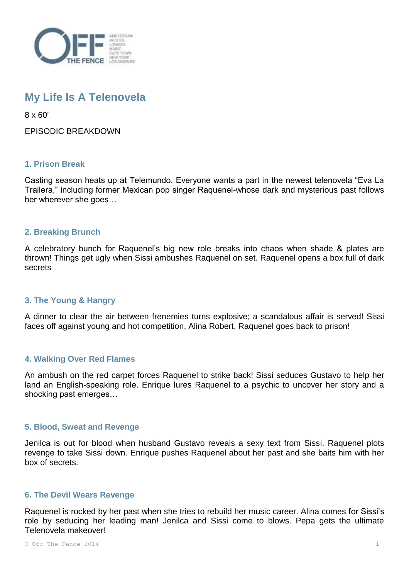

# **My Life Is A Telenovela**

8 x 60'

EPISODIC BREAKDOWN

## **1. Prison Break**

Casting season heats up at Telemundo. Everyone wants a part in the newest telenovela "Eva La Trailera," including former Mexican pop singer Raquenel-whose dark and mysterious past follows her wherever she goes…

#### **2. Breaking Brunch**

A celebratory bunch for Raquenel's big new role breaks into chaos when shade & plates are thrown! Things get ugly when Sissi ambushes Raquenel on set. Raquenel opens a box full of dark secrets

## **3. The Young & Hangry**

A dinner to clear the air between frenemies turns explosive; a scandalous affair is served! Sissi faces off against young and hot competition, Alina Robert. Raquenel goes back to prison!

#### **4. Walking Over Red Flames**

An ambush on the red carpet forces Raquenel to strike back! Sissi seduces Gustavo to help her land an English-speaking role. Enrique lures Raquenel to a psychic to uncover her story and a shocking past emerges…

#### **5. Blood, Sweat and Revenge**

Jenilca is out for blood when husband Gustavo reveals a sexy text from Sissi. Raquenel plots revenge to take Sissi down. Enrique pushes Raquenel about her past and she baits him with her box of secrets.

#### **6. The Devil Wears Revenge**

Raquenel is rocked by her past when she tries to rebuild her music career. Alina comes for Sissi's role by seducing her leading man! Jenilca and Sissi come to blows. Pepa gets the ultimate Telenovela makeover!